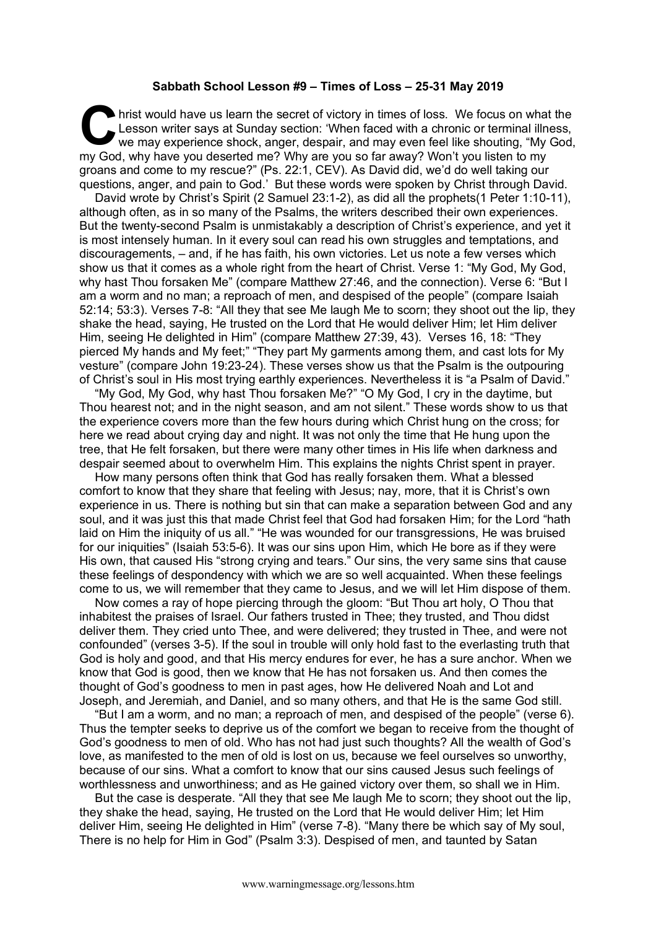## **Sabbath School Lesson #9 – Times of Loss – 25-31 May 2019**

hrist would have us learn the secret of victory in times of loss. We focus on what the Lesson writer says at Sunday section: 'When faced with a chronic or terminal illness, we may experience shock, anger, despair, and may even feel like shouting, "My God, my God, why have you deserted me? Why are you so far away? Won't you listen to my groans and come to my rescue?" (Ps. 22:1, CEV). As David did, we'd do well taking our questions, anger, and pain to God.' But these words were spoken by Christ through David. C Le<sup>t</sup><br>we

David wrote by Christ's Spirit (2 Samuel 23:1-2), as did all the prophets(1 Peter 1:10-11), although often, as in so many of the Psalms, the writers described their own experiences. But the twenty-second Psalm is unmistakably a description of Christ's experience, and yet it is most intensely human. In it every soul can read his own struggles and temptations, and discouragements, – and, if he has faith, his own victories. Let us note a few verses which show us that it comes as a whole right from the heart of Christ. Verse 1: "My God, My God, why hast Thou forsaken Me" (compare Matthew 27:46, and the connection). Verse 6: "But I am a worm and no man; a reproach of men, and despised of the people" (compare Isaiah 52:14; 53:3). Verses 7-8: "All they that see Me laugh Me to scorn; they shoot out the lip, they shake the head, saying, He trusted on the Lord that He would deliver Him; let Him deliver Him, seeing He delighted in Him" (compare Matthew 27:39, 43). Verses 16, 18: "They pierced My hands and My feet;" "They part My garments among them, and cast lots for My vesture" (compare John 19:23-24). These verses show us that the Psalm is the outpouring of Christ's soul in His most trying earthly experiences. Nevertheless it is "a Psalm of David."

"My God, My God, why hast Thou forsaken Me?" "O My God, I cry in the daytime, but Thou hearest not; and in the night season, and am not silent." These words show to us that the experience covers more than the few hours during which Christ hung on the cross; for here we read about crying day and night. It was not only the time that He hung upon the tree, that He felt forsaken, but there were many other times in His life when darkness and despair seemed about to overwhelm Him. This explains the nights Christ spent in prayer.

How many persons often think that God has really forsaken them. What a blessed comfort to know that they share that feeling with Jesus; nay, more, that it is Christ's own experience in us. There is nothing but sin that can make a separation between God and any soul, and it was just this that made Christ feel that God had forsaken Him; for the Lord "hath laid on Him the iniquity of us all." "He was wounded for our transgressions, He was bruised for our iniquities" (Isaiah 53:5-6). It was our sins upon Him, which He bore as if they were His own, that caused His "strong crying and tears." Our sins, the very same sins that cause these feelings of despondency with which we are so well acquainted. When these feelings come to us, we will remember that they came to Jesus, and we will let Him dispose of them.

Now comes a ray of hope piercing through the gloom: "But Thou art holy, O Thou that inhabitest the praises of Israel. Our fathers trusted in Thee; they trusted, and Thou didst deliver them. They cried unto Thee, and were delivered; they trusted in Thee, and were not confounded" (verses 3-5). If the soul in trouble will only hold fast to the everlasting truth that God is holy and good, and that His mercy endures for ever, he has a sure anchor. When we know that God is good, then we know that He has not forsaken us. And then comes the thought of God's goodness to men in past ages, how He delivered Noah and Lot and Joseph, and Jeremiah, and Daniel, and so many others, and that He is the same God still.

"But I am a worm, and no man; a reproach of men, and despised of the people" (verse 6). Thus the tempter seeks to deprive us of the comfort we began to receive from the thought of God's goodness to men of old. Who has not had just such thoughts? All the wealth of God's love, as manifested to the men of old is lost on us, because we feel ourselves so unworthy, because of our sins. What a comfort to know that our sins caused Jesus such feelings of worthlessness and unworthiness; and as He gained victory over them, so shall we in Him.

But the case is desperate. "All they that see Me laugh Me to scorn; they shoot out the lip, they shake the head, saying, He trusted on the Lord that He would deliver Him; let Him deliver Him, seeing He delighted in Him" (verse 7-8). "Many there be which say of My soul, There is no help for Him in God" (Psalm 3:3). Despised of men, and taunted by Satan